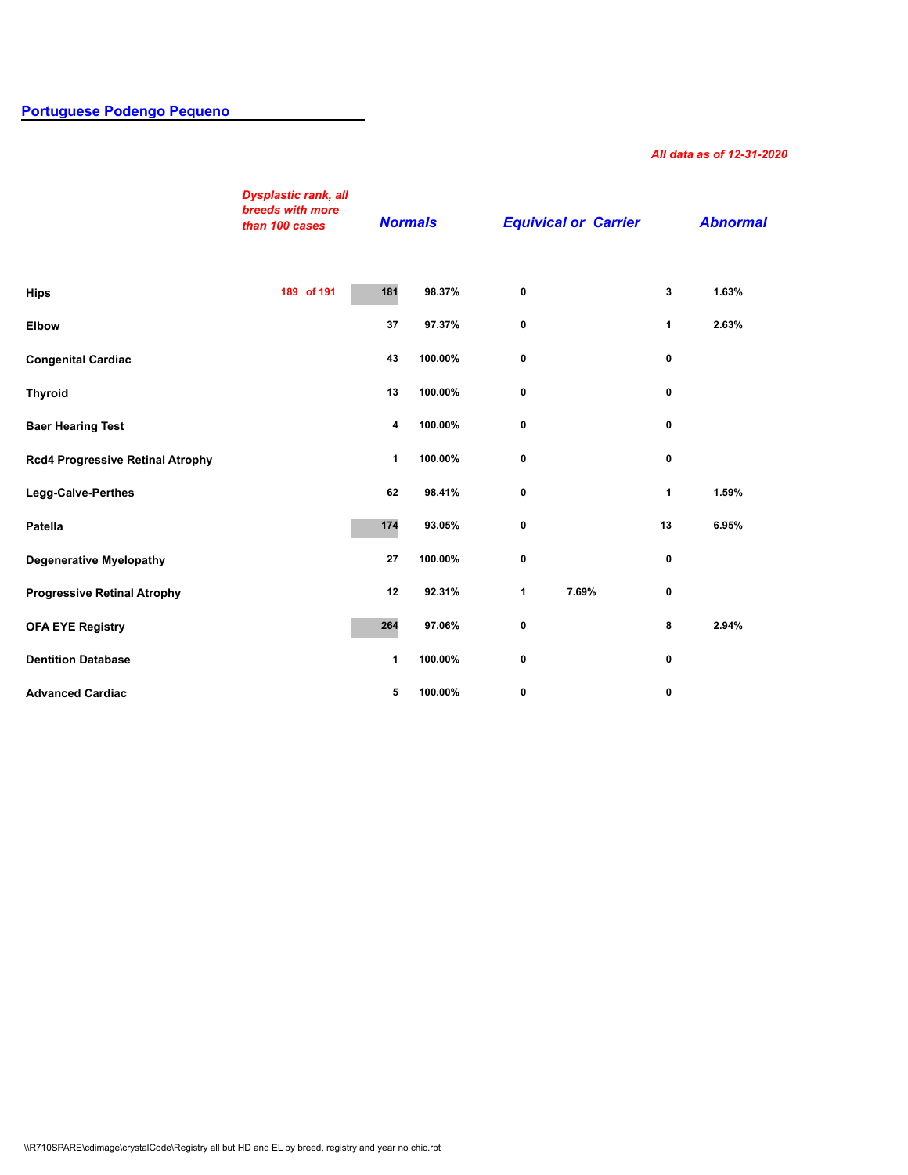## **[Portuguese Podengo Pequeno](http://secure.ofa.org/regsums/PPD31-dec-2018SUM.pdf)**

## *All data as of 12-31-2020*

|                                         | <b>Dysplastic rank, all</b><br>breeds with more<br>than 100 cases |     | <b>Normals</b> | <b>Equivical or Carrier</b> |       |              | <b>Abnormal</b> |  |
|-----------------------------------------|-------------------------------------------------------------------|-----|----------------|-----------------------------|-------|--------------|-----------------|--|
| <b>Hips</b>                             | 189 of 191                                                        | 181 | 98.37%         | 0                           |       | 3            | 1.63%           |  |
| <b>Elbow</b>                            |                                                                   | 37  | 97.37%         | 0                           |       | $\mathbf{1}$ | 2.63%           |  |
| <b>Congenital Cardiac</b>               |                                                                   | 43  | 100.00%        | 0                           |       | 0            |                 |  |
| <b>Thyroid</b>                          |                                                                   | 13  | 100.00%        | 0                           |       | 0            |                 |  |
| <b>Baer Hearing Test</b>                |                                                                   | 4   | 100.00%        | 0                           |       | 0            |                 |  |
| <b>Rcd4 Progressive Retinal Atrophy</b> |                                                                   | 1   | 100.00%        | $\mathbf 0$                 |       | 0            |                 |  |
| Legg-Calve-Perthes                      |                                                                   | 62  | 98.41%         | 0                           |       | 1            | 1.59%           |  |
| Patella                                 |                                                                   | 174 | 93.05%         | 0                           |       | 13           | 6.95%           |  |
| <b>Degenerative Myelopathy</b>          |                                                                   | 27  | 100.00%        | 0                           |       | 0            |                 |  |
| <b>Progressive Retinal Atrophy</b>      |                                                                   | 12  | 92.31%         | $\mathbf{1}$                | 7.69% | 0            |                 |  |
| <b>OFA EYE Registry</b>                 |                                                                   | 264 | 97.06%         | 0                           |       | 8            | 2.94%           |  |
| <b>Dentition Database</b>               |                                                                   | 1   | 100.00%        | 0                           |       | 0            |                 |  |
| <b>Advanced Cardiac</b>                 |                                                                   | 5   | 100.00%        | 0                           |       | 0            |                 |  |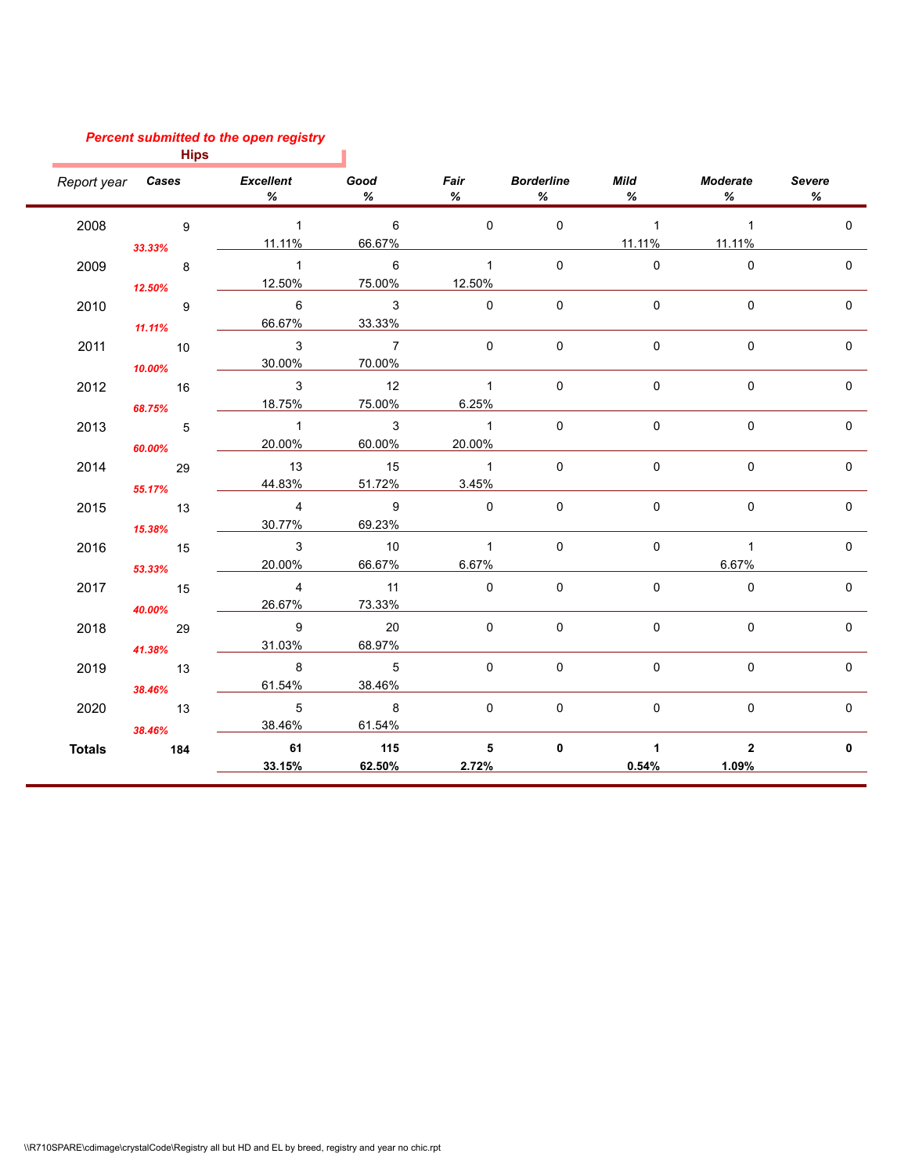## *Percent submitted to the open registry*

| <b>Hips</b>   |                            |                                         |                         |                |                                |                     |                  |              |
|---------------|----------------------------|-----------------------------------------|-------------------------|----------------|--------------------------------|---------------------|------------------|--------------|
|               |                            | Report year <b>Cases</b> Excellent<br>% | Good<br>%               | %              | <b>Fair</b> Borderline<br>$\%$ | <b>Mild</b><br>$\%$ | Moderate<br>$\%$ | Severe<br>%  |
| 2008          | $\sim$ 9                   | $\overline{1}$                          | $\overline{6}$          | $\overline{0}$ | $\mathbf 0$                    | $\sim$ 1            | $\overline{1}$   | $\Omega$     |
|               | 33.33%                     | 11.11%                                  | 66.67%                  |                |                                | 11.11%              | 11.11%           |              |
| 2009          | $\overline{\phantom{a}}$ 8 | $\overline{1}$                          | $6\overline{6}$         | $\mathbf{1}$   | $\mathbf{0}$                   | $\mathbf{0}$        | $\mathbf{0}$     | $\Omega$     |
|               | 12.50%                     | 12.50%                                  | 75.00%                  | 12.50%         |                                |                     |                  |              |
| 2010          | $\overline{9}$             | 6                                       | $\overline{\mathbf{3}}$ | $\Omega$       | $\mathbf 0$                    | 0                   | $\Omega$         | $\mathbf{0}$ |
|               | 11.11%                     | 66.67%                                  | 33.33%                  |                |                                |                     |                  |              |
| 2011          | 10                         | $\mathbf{3}$                            | $\overline{7}$          | $\Omega$       | $\Omega$                       | $\Omega$            | $\Omega$         | $\Omega$     |
|               | 10.00%                     | 30.00%                                  | 70.00%                  |                |                                |                     |                  |              |
| 2012          | 16                         | $\mathbf{3}$                            | 12                      | $\overline{1}$ | $\mathbf 0$                    | $\mathsf 0$         | $\mathbf 0$      | 0            |
|               | 68.75%                     | 18.75%                                  | 75.00%                  | 6.25%          |                                |                     |                  |              |
| 2013          | $\overline{5}$             | $\overline{1}$                          | $\overline{\mathbf{3}}$ | $\overline{1}$ | $\mathbf{0}$                   | $\mathbf 0$         | $\Omega$         | $\mathbf{0}$ |
|               | 60.00%                     | 20.00%                                  | 60.00%                  | 20.00%         |                                |                     |                  |              |
| 2014          | 29                         | 13                                      | 15                      | $\overline{1}$ | $\Omega$                       | 0                   | $\mathbf 0$      | $\mathbf 0$  |
|               | 55.17%                     | 44.83%                                  | 51.72%                  | 3.45%          |                                |                     |                  |              |
| 2015          | $\overline{13}$            | $\overline{4}$                          | $\overline{9}$          | $\Omega$       | $\Omega$                       | 0                   | $\Omega$         | $\mathbf{0}$ |
|               | 15.38%                     | 30.77%                                  | 69.23%                  |                |                                |                     |                  |              |
| 2016          | 15                         | $\mathbf{3}$                            | 10                      | $\overline{1}$ | $\mathbf{0}$                   | $\mathbf{0}$        | $\overline{1}$   | $\Omega$     |
|               | 53.33%                     | 20.00%                                  | 66.67%                  | 6.67%          |                                |                     | 6.67%            |              |
| 2017          | $\overline{15}$            | $\overline{4}$                          | 11                      | $\mathbf 0$    | $\mathsf 0$                    | 0                   | $\mathbf 0$      | $\mathbf 0$  |
|               | 40.00%                     | 26.67%                                  | 73.33%                  |                |                                |                     |                  |              |
| 2018          | 29                         | $\overline{9}$                          | 20                      | $\Omega$       | $\mathbf{0}$                   | 0                   | $\Omega$         | $\mathbf{0}$ |
|               | 41.38%                     | 31.03%                                  | 68.97%                  |                |                                |                     |                  |              |
| 2019          | $\overline{13}$            | 8                                       | $\overline{5}$          | $\Omega$       | $\mathbf 0$                    | 0                   | $\Omega$         | $\mathbf{0}$ |
|               | 38.46%                     | 61.54%                                  | 38.46%                  |                |                                |                     |                  |              |
| 2020          | $\overline{13}$            | $\overline{5}$                          | $\overline{\mathbf{8}}$ | $\overline{0}$ | $\mathbf 0$                    | $\mathbf 0$         | $\Omega$         | $\mathbf 0$  |
|               | 38.46%                     | 38.46%                                  | 61.54%                  |                |                                |                     |                  |              |
| <b>Totals</b> | 184                        | 61                                      | 115                     | 5              | $\mathbf 0$                    | $\mathbf{1}$        | $\overline{2}$   | $\mathbf 0$  |
|               |                            | 33.15%                                  | 62.50%                  | 2.72%          |                                | 0.54%               | 1.09%            |              |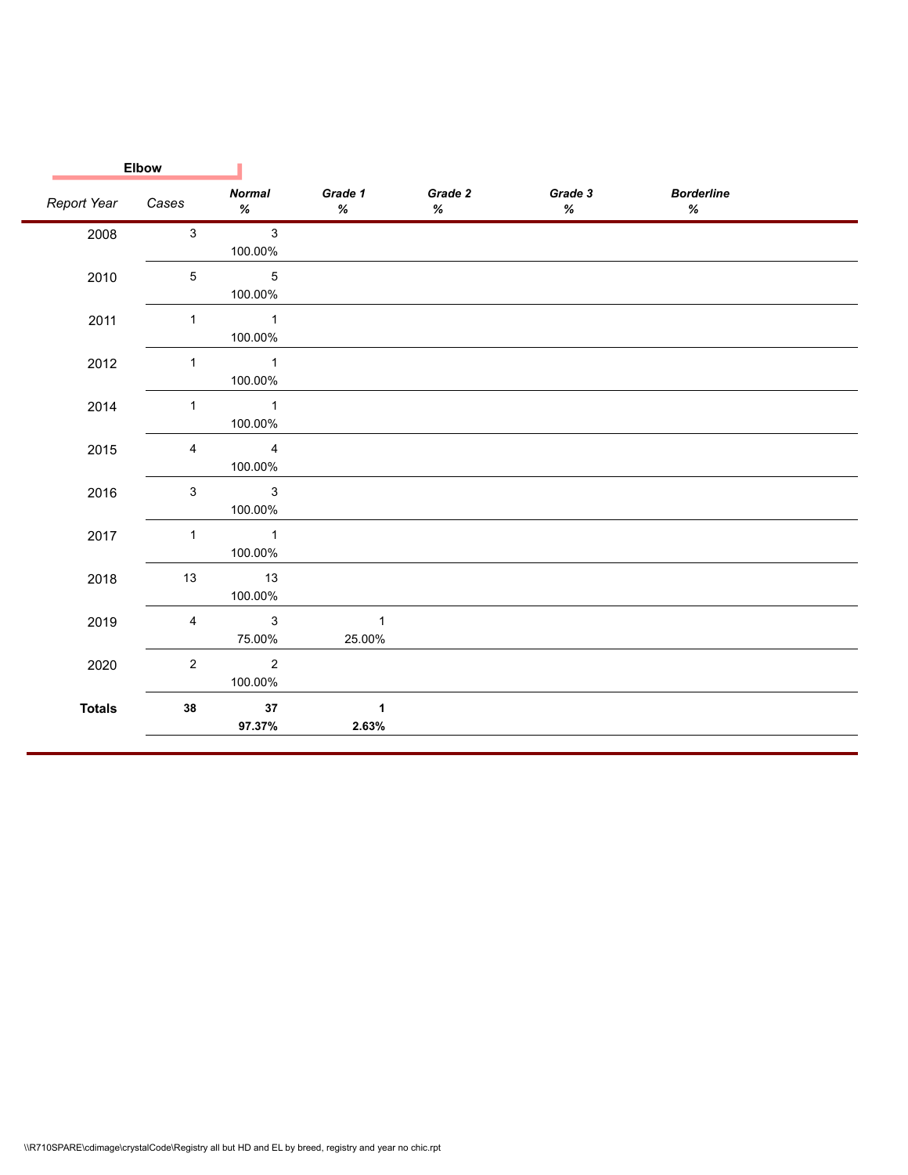|               | <b>Elbow</b>   |                                       |                                                    |                 |                 |                           |  |
|---------------|----------------|---------------------------------------|----------------------------------------------------|-----------------|-----------------|---------------------------|--|
| Report Year   | Cases          | <b>Normal</b><br>%                    | Grade 1<br>$% \mathcal{B} \rightarrow \mathcal{B}$ | Grade 2<br>$\%$ | Grade 3<br>$\%$ | <b>Borderline</b><br>$\%$ |  |
| 2008          | $\mathbf{3}$   | $\overline{3}$<br>100.00%             |                                                    |                 |                 |                           |  |
| 2010          | 5              | $\sqrt{5}$<br>100.00%                 |                                                    |                 |                 |                           |  |
| 2011          | $\mathbf{1}$   | $\sim$ 1<br>100.00%                   |                                                    |                 |                 |                           |  |
| 2012          | $\mathbf{1}$   | $\overline{\phantom{1}}$<br>100.00%   |                                                    |                 |                 |                           |  |
| 2014          | $\mathbf{1}$   | $\overline{\phantom{1}}$ 1<br>100.00% |                                                    |                 |                 |                           |  |
| 2015          | $\overline{4}$ | $\overline{4}$<br>100.00%             |                                                    |                 |                 |                           |  |
| 2016          | $\mathbf{3}$   | $\mathbf{3}$<br>100.00%               |                                                    |                 |                 |                           |  |
| 2017          | $\mathbf{1}$   | $\sim$ 1<br>100.00%                   |                                                    |                 |                 |                           |  |
| 2018          | 13             | 13<br>100.00%                         |                                                    |                 |                 |                           |  |
| 2019          | $\overline{4}$ | $\mathbf{3}$<br>75.00%                | $\overline{\phantom{0}}$ 1<br>25.00%               |                 |                 |                           |  |
| 2020          | $\overline{2}$ | $\overline{\phantom{a}}$<br>100.00%   |                                                    |                 |                 |                           |  |
| <b>Totals</b> | 38             | 37<br>97.37%                          | $\overline{1}$<br>2.63%                            |                 |                 |                           |  |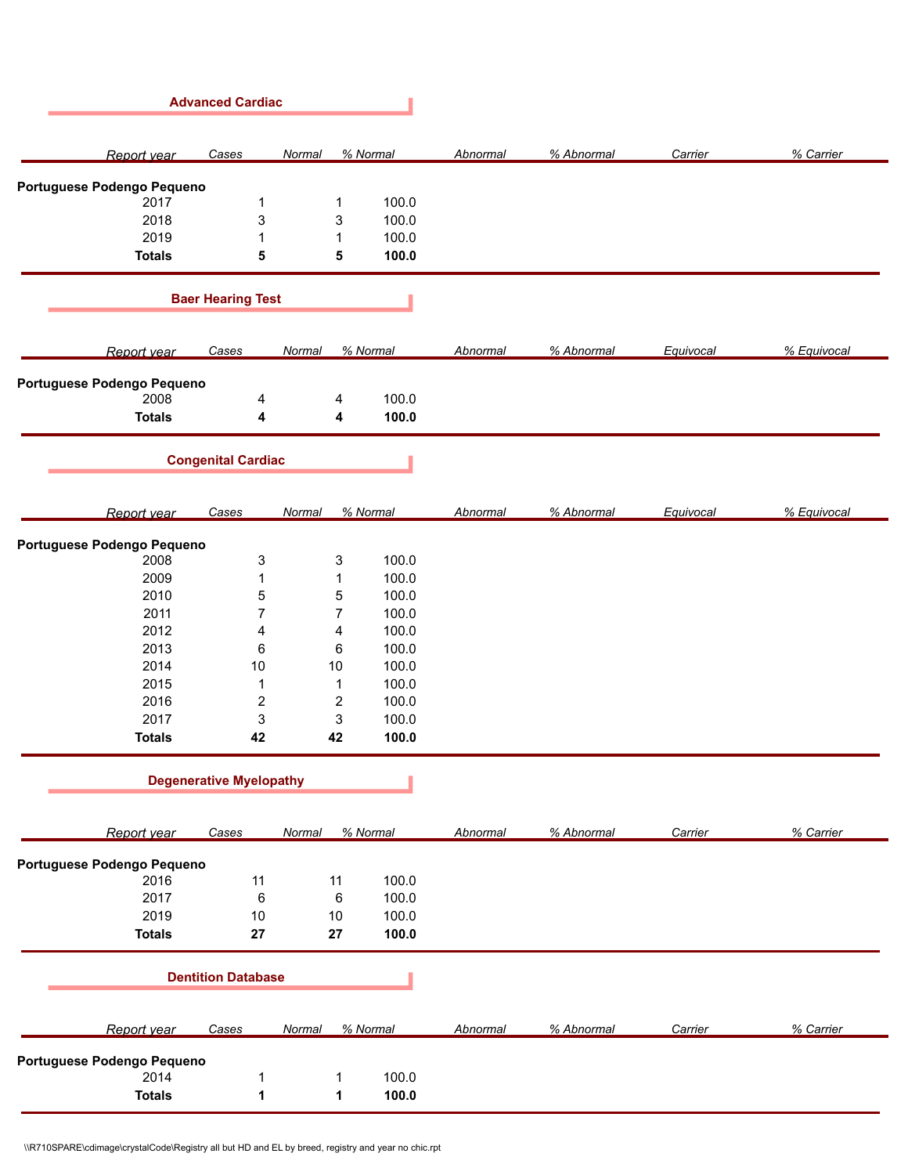|                                    | <b>Advanced Cardiac</b>        |                         |          |                 |            |           |             |
|------------------------------------|--------------------------------|-------------------------|----------|-----------------|------------|-----------|-------------|
| Report year                        | Cases                          | Normal                  | % Normal | Abnormal        | % Abnormal | Carrier   | % Carrier   |
| Portuguese Podengo Pequeno         |                                |                         |          |                 |            |           |             |
| 2017                               | $\mathbf{1}$                   | 1                       | 100.0    |                 |            |           |             |
| 2018                               | 3                              | 3                       | 100.0    |                 |            |           |             |
| 2019                               | $\mathbf{1}$                   | 1                       | 100.0    |                 |            |           |             |
| <b>Totals</b>                      | 5                              | 5                       | 100.0    |                 |            |           |             |
|                                    | <b>Baer Hearing Test</b>       |                         |          |                 |            |           |             |
| Report year                        | Cases                          | Normal                  | % Normal | <b>Abnormal</b> | % Abnormal | Equivocal | % Equivocal |
| Portuguese Podengo Pequeno         |                                |                         |          |                 |            |           |             |
| 2008                               | 4                              | 4                       | 100.0    |                 |            |           |             |
| <b>Totals</b>                      | 4                              | 4                       | 100.0    |                 |            |           |             |
|                                    | <b>Congenital Cardiac</b>      |                         |          |                 |            |           |             |
| Report year                        | Cases                          | Normal                  | % Normal | Abnormal        | % Abnormal | Equivocal | % Equivocal |
| Portuguese Podengo Pequeno         |                                |                         |          |                 |            |           |             |
| 2008                               | 3                              | 3                       | 100.0    |                 |            |           |             |
| 2009                               | $\mathbf{1}$                   | 1                       | 100.0    |                 |            |           |             |
| 2010                               | 5                              | 5                       | 100.0    |                 |            |           |             |
| 2011                               | $\overline{7}$                 | $\overline{7}$          | 100.0    |                 |            |           |             |
| 2012                               | 4                              | 4                       | 100.0    |                 |            |           |             |
| 2013                               | 6                              | 6                       | 100.0    |                 |            |           |             |
| 2014                               | $10$                           | $10$                    | 100.0    |                 |            |           |             |
| 2015                               | 1                              | $\mathbf{1}$            | 100.0    |                 |            |           |             |
| 2016                               | $\overline{c}$                 | $\overline{\mathbf{c}}$ | 100.0    |                 |            |           |             |
| 2017                               | 3                              | 3                       | 100.0    |                 |            |           |             |
| <b>Totals</b>                      | 42                             | 42                      | 100.0    |                 |            |           |             |
|                                    | <b>Degenerative Myelopathy</b> |                         |          |                 |            |           |             |
| Report year                        | Cases                          | Normal                  | % Normal | Abnormal        | % Abnormal | Carrier   | % Carrier   |
| Portuguese Podengo Pequeno         |                                |                         |          |                 |            |           |             |
| 2016                               | 11                             | 11                      | 100.0    |                 |            |           |             |
| 2017                               | $\,6\,$                        | $\,6\,$                 | 100.0    |                 |            |           |             |
| 2019                               | 10                             | $10$                    | 100.0    |                 |            |           |             |
| <b>Totals</b>                      | 27                             | 27                      | 100.0    |                 |            |           |             |
|                                    | <b>Dentition Database</b>      |                         |          |                 |            |           |             |
| Report year                        | Cases                          | Normal                  | % Normal | Abnormal        | % Abnormal | Carrier   | % Carrier   |
|                                    |                                |                         |          |                 |            |           |             |
| Portuguese Podengo Pequeno<br>2014 | 1                              | 1                       | 100.0    |                 |            |           |             |
| <b>Totals</b>                      | $\mathbf{1}$                   | 1                       | 100.0    |                 |            |           |             |
|                                    |                                |                         |          |                 |            |           |             |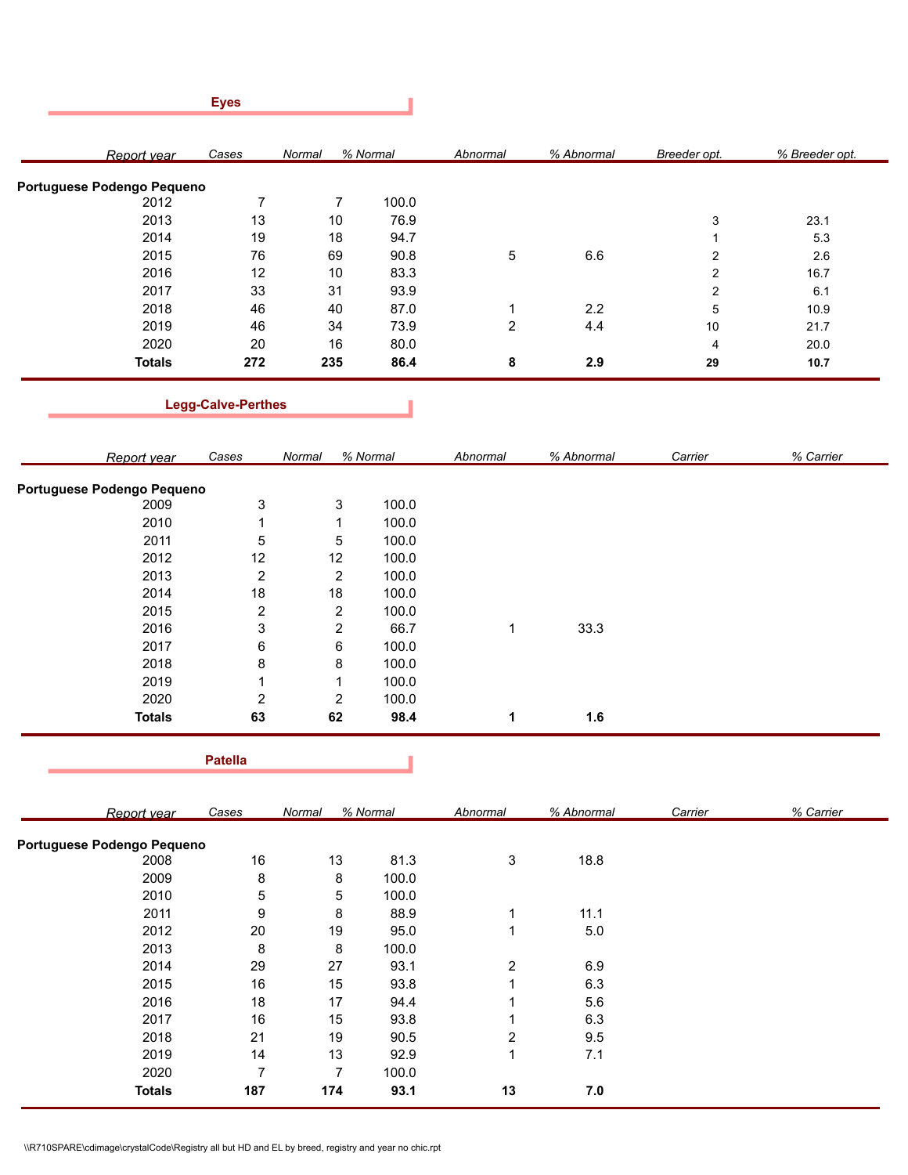|                            | <b>Eyes</b>               |                |          |                |            |                  |                |
|----------------------------|---------------------------|----------------|----------|----------------|------------|------------------|----------------|
| Report year                | Cases                     | Normal         | % Normal | Abnormal       | % Abnormal | Breeder opt.     | % Breeder opt. |
| Portuguese Podengo Pequeno |                           |                |          |                |            |                  |                |
| 2012                       | $\overline{7}$            | $\overline{7}$ | 100.0    |                |            |                  |                |
| 2013                       | 13                        | 10             | 76.9     |                |            | 3                | 23.1           |
| 2014                       | 19                        | 18             | 94.7     |                |            | $\mathbf{1}$     | 5.3            |
| 2015                       | 76                        | 69             | 90.8     | 5              | 6.6        | $\boldsymbol{2}$ | 2.6            |
| 2016                       | 12                        | 10             | 83.3     |                |            | 2                | 16.7           |
| 2017                       | 33                        | 31             | 93.9     |                |            | 2                | 6.1            |
| 2018                       | 46                        | 40             | 87.0     | 1              | 2.2        | $\mathbf 5$      | 10.9           |
| 2019                       | 46                        | 34             | 73.9     | $\overline{c}$ | 4.4        | $10$             | 21.7           |
| 2020                       | 20                        | 16             | 80.0     |                |            | 4                | 20.0           |
| <b>Totals</b>              | 272                       | 235            | 86.4     | 8              | 2.9        | 29               | 10.7           |
|                            | <b>Legg-Calve-Perthes</b> |                |          |                |            |                  |                |
| Report year                | Cases                     | Normal         | % Normal | Abnormal       | % Abnormal | Carrier          | % Carrier      |
| Portuguese Podengo Pequeno |                           |                |          |                |            |                  |                |
| 2009                       | 3                         | 3              | 100.0    |                |            |                  |                |
| 2010                       | 1                         | 1              | 100.0    |                |            |                  |                |
| 2011                       | 5                         | $\,$ 5 $\,$    | 100.0    |                |            |                  |                |
| 2012                       | 12                        | 12             | 100.0    |                |            |                  |                |
| 2013                       | $\overline{c}$            | $\overline{2}$ | 100.0    |                |            |                  |                |
| 2014                       | 18                        | 18             | 100.0    |                |            |                  |                |
| 2015                       | $\overline{2}$            | $\overline{2}$ | 100.0    |                |            |                  |                |

| <b>Totals</b> | 63 | 62 | 98.4  | 1.6  |  |
|---------------|----|----|-------|------|--|
| 2020          | ◠  | 2  | 100.0 |      |  |
| 2019          |    |    | 100.0 |      |  |
| 2018          | 8  | 8  | 100.0 |      |  |
| 2017          | 6  | 6  | 100.0 |      |  |
| 2016          | 3  | 2  | 66.7  | 33.3 |  |
| $\sim$        | _  | _  | 100.0 |      |  |

I

**Patella**

*Cases Normal % Normal Abnormal % Abnormal Report year Carrier % Carrier* **Portuguese Podengo Pequeno** 2008 16 13 81.3 3 18.8 2009 8 8 100.0 2010 5 5 100.0 2011 9 8 88.9 1 11.1 2012 20 19 95.0 1 5.0 2013 8 8 100.0 2014 29 27 93.1 2 6.9 2015 16 15 93.8 1 6.3 2016 18 17 94.4 1 5.6 2017 16 15 93.8 1 6.3 2018 21 19 90.5 2 9.5 2019 14 13 92.9 1 7.1 2020 7 7 100.0 **Totals 187 174 93.1 13 7.0**